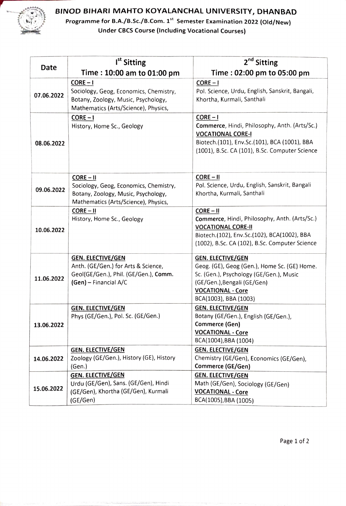

## BINOD BIHARI MAHTO KOYALANCHAL UNIVERSITY, DHANBAD

Programme for B.A./B.Sc./B.Com. 1" Semester Examination 2022 (0ld/New) Under CBCS Course (Including Vocational Courses)

|            | I <sup>st</sup> Sitting                                                                                                              | 2 <sup>nd</sup> Sitting                                                                                                                                                                                 |
|------------|--------------------------------------------------------------------------------------------------------------------------------------|---------------------------------------------------------------------------------------------------------------------------------------------------------------------------------------------------------|
| Date       | Time: 10:00 am to 01:00 pm                                                                                                           | Time: 02:00 pm to 05:00 pm                                                                                                                                                                              |
| 07.06.2022 | $CORE - I$<br>Sociology, Geog, Economics, Chemistry,<br>Botany, Zoology, Music, Psychology,<br>Mathematics (Arts/Science), Physics,  | $CORE - I$<br>Pol. Science, Urdu, English, Sanskrit, Bangali,<br>Khortha, Kurmali, Santhali                                                                                                             |
| 08.06.2022 | $CORE - I$<br>History, Home Sc., Geology                                                                                             | $CORE - I$<br>Commerce, Hindi, Philosophy, Anth. (Arts/Sc.)<br><b>VOCATIONAL CORE-I</b><br>Biotech.(101), Env.Sc.(101), BCA (1001), BBA<br>(1001), B.Sc. CA (101), B.Sc. Computer Science               |
| 09.06.2022 | $CORE - II$<br>Sociology, Geog, Economics, Chemistry,<br>Botany, Zoology, Music, Psychology,<br>Mathematics (Arts/Science), Physics, | $CORE - II$<br>Pol. Science, Urdu, English, Sanskrit, Bangali<br>Khortha, Kurmali, Santhali                                                                                                             |
| 10.06.2022 | $CORE - II$<br>History, Home Sc., Geology                                                                                            | $CORE - II$<br>Commerce, Hindi, Philosophy, Anth. (Arts/Sc.)<br><b>VOCATIONAL CORE-II</b><br>Biotech.(102), Env.Sc.(102), BCA(1002), BBA<br>(1002), B.Sc. CA (102), B.Sc. Computer Science              |
| 11.06.2022 | <b>GEN. ELECTIVE/GEN</b><br>Anth. (GE/Gen.) for Arts & Science,<br>Geol(GE/Gen.), Phil. (GE/Gen.), Comm.<br>(Gen) - Financial A/C    | <b>GEN. ELECTIVE/GEN</b><br>Geog. (GE), Geog (Gen.), Home Sc. (GE) Home.<br>Sc. (Gen.), Psychology (GE/Gen.), Music<br>(GE/Gen.), Bengali (GE/Gen)<br><b>VOCATIONAL - Core</b><br>BCA(1003), BBA (1003) |
| 13.06.2022 | <b>GEN. ELECTIVE/GEN</b><br>Phys (GE/Gen.), Pol. Sc. (GE/Gen.)                                                                       | <b>GEN. ELECTIVE/GEN</b><br>Botany (GE/Gen.), English (GE/Gen.),<br>Commerce (Gen)<br><b>VOCATIONAL - Core</b><br>BCA(1004), BBA (1004)                                                                 |
| 14.06.2022 | <b>GEN. ELECTIVE/GEN</b><br>Zoology (GE/Gen.), History (GE), History<br>(Gen.)                                                       | <b>GEN. ELECTIVE/GEN</b><br>Chemistry (GE/Gen), Economics (GE/Gen),<br>Commerce (GE/Gen)                                                                                                                |
| 15.06.2022 | <b>GEN. ELECTIVE/GEN</b><br>Urdu (GE/Gen), Sans. (GE/Gen), Hindi<br>(GE/Gen), Khortha (GE/Gen), Kurmali<br>(GE/Gen)                  | <b>GEN. ELECTIVE/GEN</b><br>Math (GE/Gen), Sociology (GE/Gen)<br><b>VOCATIONAL - Core</b><br>BCA(1005), BBA (1005)                                                                                      |

Page 1 of 2